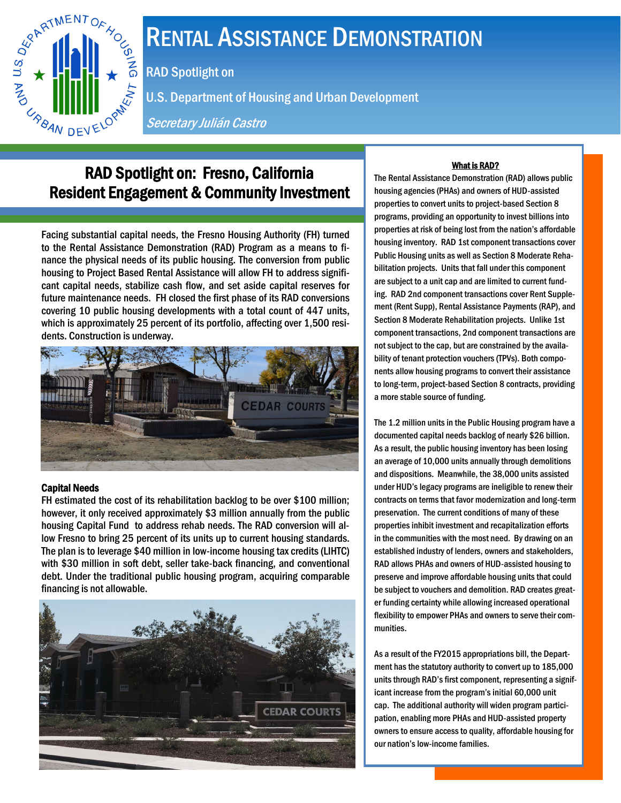

# RENTAL ASSISTANCE DEMONSTRATION

RAD Spotlight on

U.S. Department of Housing and Urban Development

Secretary Julián Castro

# RAD Spotlight on: Fresno, California Resident Engagement & Community Investment

Facing substantial capital needs, the Fresno Housing Authority (FH) turned to the Rental Assistance Demonstration (RAD) Program as a means to finance the physical needs of its public housing. The conversion from public housing to Project Based Rental Assistance will allow FH to address significant capital needs, stabilize cash flow, and set aside capital reserves for future maintenance needs. FH closed the first phase of its RAD conversions covering 10 public housing developments with a total count of 447 units, which is approximately 25 percent of its portfolio, affecting over 1,500 residents. Construction is underway.



# Capital Needs

FH estimated the cost of its rehabilitation backlog to be over \$100 million; however, it only received approximately \$3 million annually from the public housing Capital Fund to address rehab needs. The RAD conversion will allow Fresno to bring 25 percent of its units up to current housing standards. The plan is to leverage \$40 million in low-income housing tax credits (LIHTC) with \$30 million in soft debt, seller take-back financing, and conventional debt. Under the traditional public housing program, acquiring comparable financing is not allowable.



# What is RAD?

The Rental Assistance Demonstration (RAD) allows public housing agencies (PHAs) and owners of HUD-assisted properties to convert units to project-based Section 8 programs, providing an opportunity to invest billions into properties at risk of being lost from the nation's affordable housing inventory. RAD 1st component transactions cover Public Housing units as well as Section 8 Moderate Rehabilitation projects. Units that fall under this component are subject to a unit cap and are limited to current funding. RAD 2nd component transactions cover Rent Supplement (Rent Supp), Rental Assistance Payments (RAP), and Section 8 Moderate Rehabilitation projects. Unlike 1st component transactions, 2nd component transactions are not subject to the cap, but are constrained by the availability of tenant protection vouchers (TPVs). Both components allow housing programs to convert their assistance to long-term, project-based Section 8 contracts, providing a more stable source of funding.

The 1.2 million units in the Public Housing program have a documented capital needs backlog of nearly \$26 billion. As a result, the public housing inventory has been losing an average of 10,000 units annually through demolitions and dispositions. Meanwhile, the 38,000 units assisted under HUD's legacy programs are ineligible to renew their contracts on terms that favor modernization and long-term preservation. The current conditions of many of these properties inhibit investment and recapitalization efforts in the communities with the most need. By drawing on an established industry of lenders, owners and stakeholders, RAD allows PHAs and owners of HUD-assisted housing to preserve and improve affordable housing units that could be subject to vouchers and demolition. RAD creates greater funding certainty while allowing increased operational flexibility to empower PHAs and owners to serve their communities.

As a result of the FY2015 appropriations bill, the Department has the statutory authority to convert up to 185,000 units through RAD's first component, representing a significant increase from the program's initial 60,000 unit cap. The additional authority will widen program participation, enabling more PHAs and HUD-assisted property owners to ensure access to quality, affordable housing for our nation's low-income families.